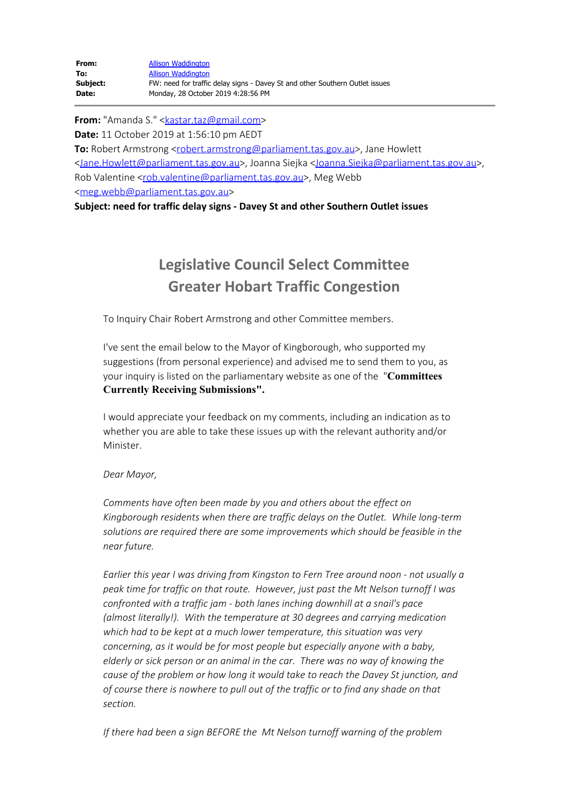**From:** "Amanda S." <[kastar.taz@gmail.com](mailto:kastar.taz@gmail.com)> **Date:** 11 October 2019 at 1:56:10 pm AEDT **To:** Robert Armstrong <[robert.armstrong@parliament.tas.gov.au](mailto:robert.armstrong@parliament.tas.gov.au)>, Jane Howlett [<Jane.Howlett@parliament.tas.gov.au](mailto:Jane.Howlett@parliament.tas.gov.au)>, Joanna Siejka [<Joanna.Siejka@parliament.tas.gov.au](mailto:Joanna.Siejka@parliament.tas.gov.au)>, Rob Valentine [<rob.valentine@parliament.tas.gov.au](mailto:rob.valentine@parliament.tas.gov.au)>, Meg Webb [<meg.webb@parliament.tas.gov.au](mailto:meg.webb@parliament.tas.gov.au)>

**Subject: need for traffic delay signs - Davey St and other Southern Outlet issues**

## **Legislative Council Select Committee Greater Hobart Traffic Congestion**

To Inquiry Chair Robert Armstrong and other Committee members.

I've sent the email below to the Mayor of Kingborough, who supported my suggestions (from personal experience) and advised me to send them to you, as your inquiry is listed on the parliamentary website as one of the "**Committees Currently Receiving Submissions".**

I would appreciate your feedback on my comments, including an indication as to whether you are able to take these issues up with the relevant authority and/or Minister.

## *Dear Mayor,*

*Comments have often been made by you and others about the effect on Kingborough residents when there are traffic delays on the Outlet. While long-term solutions are required there are some improvements which should be feasible in the near future.*

*Earlier this year I was driving from Kingston to Fern Tree around noon - not usually a peak time for traffic on that route. However, just past the Mt Nelson turnoff I was confronted with a traffic jam - both lanes inching downhill at a snail's pace (almost literally!). With the temperature at 30 degrees and carrying medication which had to be kept at a much lower temperature, this situation was very concerning, as it would be for most people but especially anyone with a baby, elderly or sick person or an animal in the car. There was no way of knowing the cause of the problem or how long it would take to reach the Davey St junction, and of course there is nowhere to pull out of the traffic or to find any shade on that section.*

*If there had been a sign BEFORE the Mt Nelson turnoff warning of the problem*